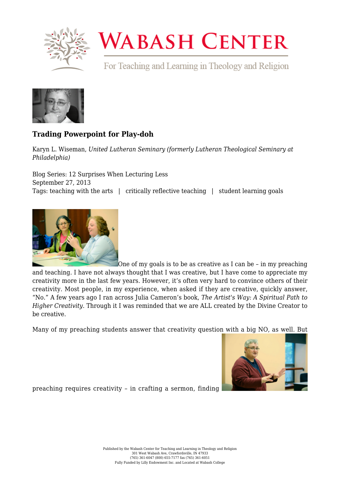

## **WABASH CENTER**

For Teaching and Learning in Theology and Religion



## **[Trading Powerpoint for Play-doh](https://www.wabashcenter.wabash.edu/2013/09/trading-powerpoint-for-play-doh/)**

Karyn L. Wiseman, *United Lutheran Seminary (formerly Lutheran Theological Seminary at Philadelphia)*

Blog Series: 12 Surprises When Lecturing Less September 27, 2013 Tags: teaching with the arts | critically reflective teaching | student learning goals



[O](http://live-wabash.pantheonsite.io/wp-content/uploads/2016/01/6a016301e4b359970d019aff7d5949970b-pi.jpg)ne of my goals is to be as creative as I can be – in my preaching and teaching. I have not always thought that I was creative, but I have come to appreciate my creativity more in the last few years. However, it's often very hard to convince others of their creativity. Most people, in my experience, when asked if they are creative, quickly answer, "No." A few years ago I ran across Julia Cameron's book, *The Artist's Way: A Spiritual Path to Higher Creativity*. Through it I was reminded that we are ALL created by the Divine Creator to be creative.

Many of my preaching students answer that creativity question with a big NO, as well. But



preaching requires creativity – in crafting a sermon, finding